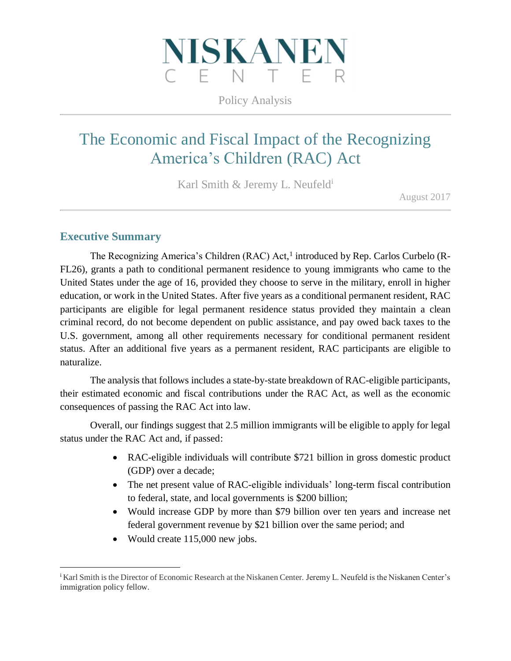

Policy Analysis

# The Economic and Fiscal Impact of the Recognizing America's Children (RAC) Act

Karl Smith & Jeremy L. Neufeld<sup>i</sup>

August 2017

# **Executive Summary**

 $\overline{a}$ 

The Recognizing America's Children (RAC) Act,<sup>1</sup> introduced by Rep. Carlos Curbelo (R-FL26), grants a path to conditional permanent residence to young immigrants who came to the United States under the age of 16, provided they choose to serve in the military, enroll in higher education, or work in the United States. After five years as a conditional permanent resident, RAC participants are eligible for legal permanent residence status provided they maintain a clean criminal record, do not become dependent on public assistance, and pay owed back taxes to the U.S. government, among all other requirements necessary for conditional permanent resident status. After an additional five years as a permanent resident, RAC participants are eligible to naturalize.

The analysis that follows includes a state-by-state breakdown of RAC-eligible participants, their estimated economic and fiscal contributions under the RAC Act, as well as the economic consequences of passing the RAC Act into law.

Overall, our findings suggest that 2.5 million immigrants will be eligible to apply for legal status under the RAC Act and, if passed:

- RAC-eligible individuals will contribute \$721 billion in gross domestic product (GDP) over a decade;
- The net present value of RAC-eligible individuals' long-term fiscal contribution to federal, state, and local governments is \$200 billion;
- Would increase GDP by more than \$79 billion over ten years and increase net federal government revenue by \$21 billion over the same period; and
- Would create 115,000 new jobs.

<sup>i</sup> Karl Smith is the Director of Economic Research at the Niskanen Center. Jeremy L. Neufeld is the Niskanen Center's immigration policy fellow.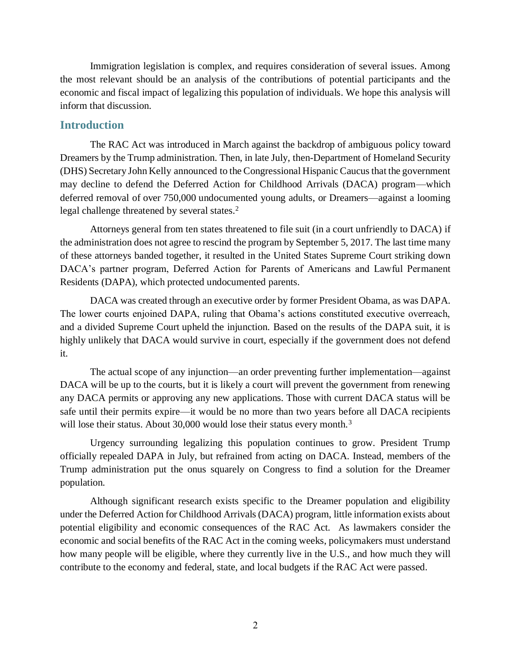Immigration legislation is complex, and requires consideration of several issues. Among the most relevant should be an analysis of the contributions of potential participants and the economic and fiscal impact of legalizing this population of individuals. We hope this analysis will inform that discussion.

#### **Introduction**

The RAC Act was introduced in March against the backdrop of ambiguous policy toward Dreamers by the Trump administration. Then, in late July, then-Department of Homeland Security (DHS) Secretary John Kelly announced to the Congressional Hispanic Caucus that the government may decline to defend the Deferred Action for Childhood Arrivals (DACA) program—which deferred removal of over 750,000 undocumented young adults, or Dreamers—against a looming legal challenge threatened by several states.<sup>2</sup>

Attorneys general from ten states threatened to file suit (in a court unfriendly to DACA) if the administration does not agree to rescind the program by September 5, 2017. The last time many of these attorneys banded together, it resulted in the United States Supreme Court striking down DACA's partner program, Deferred Action for Parents of Americans and Lawful Permanent Residents (DAPA), which protected undocumented parents.

DACA was created through an executive order by former President Obama, as was DAPA. The lower courts enjoined DAPA, ruling that Obama's actions constituted executive overreach, and a divided Supreme Court upheld the injunction. Based on the results of the DAPA suit, it is highly unlikely that DACA would survive in court, especially if the government does not defend it.

The actual scope of any injunction—an order preventing further implementation—against DACA will be up to the courts, but it is likely a court will prevent the government from renewing any DACA permits or approving any new applications. Those with current DACA status will be safe until their permits expire—it would be no more than two years before all DACA recipients will lose their status. About 30,000 would lose their status every month.<sup>3</sup>

Urgency surrounding legalizing this population continues to grow. President Trump officially repealed DAPA in July, but refrained from acting on DACA. Instead, members of the Trump administration put the onus squarely on Congress to find a solution for the Dreamer population.

Although significant research exists specific to the Dreamer population and eligibility under the Deferred Action for Childhood Arrivals (DACA) program, little information exists about potential eligibility and economic consequences of the RAC Act. As lawmakers consider the economic and social benefits of the RAC Act in the coming weeks, policymakers must understand how many people will be eligible, where they currently live in the U.S., and how much they will contribute to the economy and federal, state, and local budgets if the RAC Act were passed.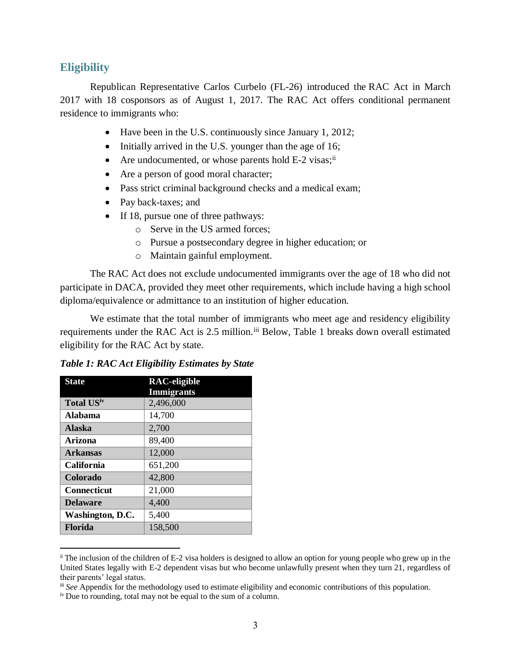#### **Eligibility**

Republican Representative Carlos Curbelo (FL-26) introduced the RAC Act in March 2017 with 18 cosponsors as of August 1, 2017. The RAC Act offers conditional permanent residence to immigrants who:

- Have been in the U.S. continuously since January 1, 2012;
- Initially arrived in the U.S. younger than the age of 16;
- Are undocumented, or whose parents hold E-2 visas;<sup>ii</sup>
- Are a person of good moral character;
- Pass strict criminal background checks and a medical exam;
- Pay back-taxes; and
- If 18, pursue one of three pathways:
	- o Serve in the US armed forces;
	- o Pursue a postsecondary degree in higher education; or
	- o Maintain gainful employment.

The RAC Act does not exclude undocumented immigrants over the age of 18 who did not participate in DACA, provided they meet other requirements, which include having a high school diploma/equivalence or admittance to an institution of higher education.

We estimate that the total number of immigrants who meet age and residency eligibility requirements under the RAC Act is 2.5 million.<sup>iii</sup> Below, Table 1 breaks down overall estimated eligibility for the RAC Act by state.

*Table 1: RAC Act Eligibility Estimates by State*

| <b>State</b>       | <b>RAC-eligible</b> |
|--------------------|---------------------|
|                    | <b>Immigrants</b>   |
| <b>Total USiv</b>  | 2,496,000           |
| Alabama            | 14,700              |
| <b>Alaska</b>      | 2,700               |
| Arizona            | 89,400              |
| <b>Arkansas</b>    | 12,000              |
| <b>California</b>  | 651,200             |
| <b>Colorado</b>    | 42,800              |
| <b>Connecticut</b> | 21,000              |
| <b>Delaware</b>    | 4,400               |
| Washington, D.C.   | 5,400               |
| <b>Florida</b>     | 158,500             |

ii The inclusion of the children of E-2 visa holders is designed to allow an option for young people who grew up in the United States legally with E-2 dependent visas but who become unlawfully present when they turn 21, regardless of their parents' legal status.

iii *See* Appendix for the methodology used to estimate eligibility and economic contributions of this population.

<sup>&</sup>lt;sup>iv</sup> Due to rounding, total may not be equal to the sum of a column.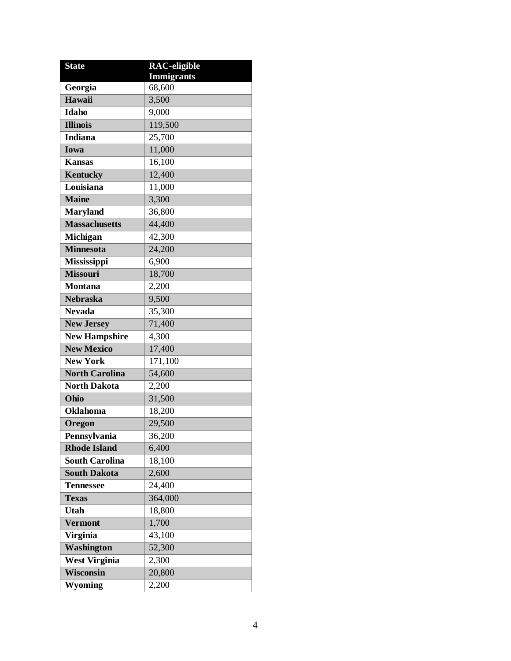| <b>State</b>          | <b>RAC-eligible</b> |
|-----------------------|---------------------|
|                       | <b>Immigrants</b>   |
| Georgia               | 68,600              |
| Hawaii                | 3,500               |
| <b>Idaho</b>          | 9,000               |
| <b>Illinois</b>       | 119,500             |
| <b>Indiana</b>        | 25,700              |
| <b>Iowa</b>           | 11,000              |
| <b>Kansas</b>         | 16,100              |
| <b>Kentucky</b>       | 12,400              |
| Louisiana             | 11,000              |
| <b>Maine</b>          | 3,300               |
| <b>Maryland</b>       | 36,800              |
| <b>Massachusetts</b>  | 44,400              |
| Michigan              | 42,300              |
| <b>Minnesota</b>      | 24,200              |
| <b>Mississippi</b>    | 6,900               |
| <b>Missouri</b>       | 18,700              |
| <b>Montana</b>        | 2,200               |
| <b>Nebraska</b>       | 9,500               |
| <b>Nevada</b>         | 35,300              |
| <b>New Jersey</b>     | 71,400              |
| <b>New Hampshire</b>  | 4,300               |
| <b>New Mexico</b>     | 17,400              |
| <b>New York</b>       | 171,100             |
| <b>North Carolina</b> | 54,600              |
| <b>North Dakota</b>   | 2,200               |
| Ohio                  | 31,500              |
| <b>Oklahoma</b>       | 18,200              |
| Oregon                | 29,500              |
| Pennsylvania          | 36,200              |
| <b>Rhode Island</b>   | 6,400               |
| <b>South Carolina</b> | 18,100              |
| <b>South Dakota</b>   | 2,600               |
| <b>Tennessee</b>      | 24,400              |
| <b>Texas</b>          | 364,000             |
| <b>Utah</b>           | 18,800              |
| <b>Vermont</b>        | 1,700               |
| <b>Virginia</b>       | 43,100              |
| Washington            | 52,300              |
| <b>West Virginia</b>  | 2,300               |
| Wisconsin             | 20,800              |
| Wyoming               | 2,200               |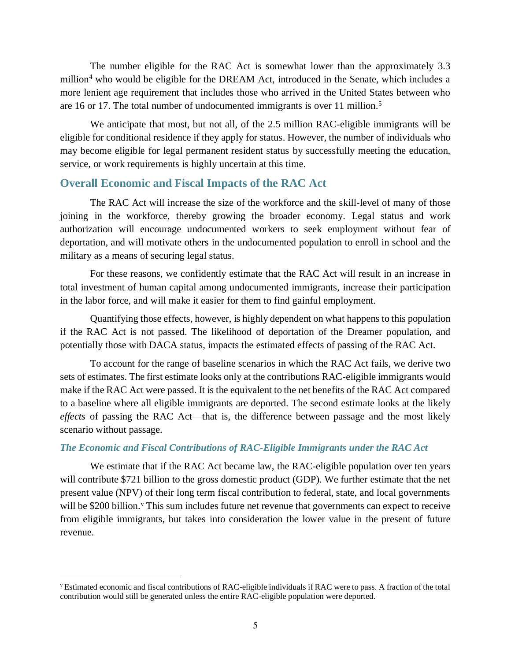The number eligible for the RAC Act is somewhat lower than the approximately 3.3 million<sup>4</sup> who would be eligible for the DREAM Act, introduced in the Senate, which includes a more lenient age requirement that includes those who arrived in the United States between who are 16 or 17. The total number of undocumented immigrants is over 11 million.<sup>5</sup>

We anticipate that most, but not all, of the 2.5 million RAC-eligible immigrants will be eligible for conditional residence if they apply for status. However, the number of individuals who may become eligible for legal permanent resident status by successfully meeting the education, service, or work requirements is highly uncertain at this time.

## **Overall Economic and Fiscal Impacts of the RAC Act**

The RAC Act will increase the size of the workforce and the skill-level of many of those joining in the workforce, thereby growing the broader economy. Legal status and work authorization will encourage undocumented workers to seek employment without fear of deportation, and will motivate others in the undocumented population to enroll in school and the military as a means of securing legal status.

For these reasons, we confidently estimate that the RAC Act will result in an increase in total investment of human capital among undocumented immigrants, increase their participation in the labor force, and will make it easier for them to find gainful employment.

Quantifying those effects, however, is highly dependent on what happens to this population if the RAC Act is not passed. The likelihood of deportation of the Dreamer population, and potentially those with DACA status, impacts the estimated effects of passing of the RAC Act.

To account for the range of baseline scenarios in which the RAC Act fails, we derive two sets of estimates. The first estimate looks only at the contributions RAC-eligible immigrants would make if the RAC Act were passed. It is the equivalent to the net benefits of the RAC Act compared to a baseline where all eligible immigrants are deported. The second estimate looks at the likely *effects* of passing the RAC Act—that is, the difference between passage and the most likely scenario without passage.

#### *The Economic and Fiscal Contributions of RAC-Eligible Immigrants under the RAC Act*

We estimate that if the RAC Act became law, the RAC-eligible population over ten years will contribute \$721 billion to the gross domestic product (GDP). We further estimate that the net present value (NPV) of their long term fiscal contribution to federal, state, and local governments will be \$200 billion.<sup>v</sup> This sum includes future net revenue that governments can expect to receive from eligible immigrants, but takes into consideration the lower value in the present of future revenue.

<sup>v</sup> Estimated economic and fiscal contributions of RAC-eligible individuals if RAC were to pass. A fraction of the total contribution would still be generated unless the entire RAC-eligible population were deported.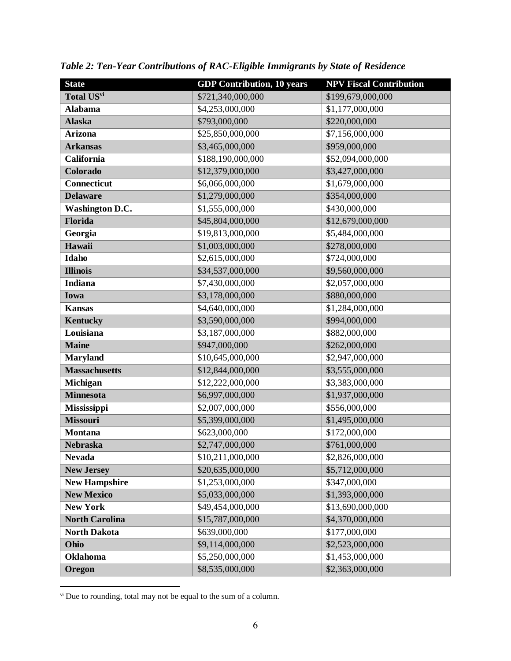| <b>State</b>           | <b>GDP</b> Contribution, 10 years  | <b>NPV Fiscal Contribution</b> |
|------------------------|------------------------------------|--------------------------------|
| Total USvi             | \$721,340,000,000                  | \$199,679,000,000              |
| <b>Alabama</b>         | \$4,253,000,000                    | \$1,177,000,000                |
| <b>Alaska</b>          | \$793,000,000                      | \$220,000,000                  |
| <b>Arizona</b>         | \$25,850,000,000                   | \$7,156,000,000                |
| <b>Arkansas</b>        | \$3,465,000,000                    | \$959,000,000                  |
| California             | \$188,190,000,000                  | \$52,094,000,000               |
| Colorado               | \$12,379,000,000                   | \$3,427,000,000                |
| Connecticut            | \$6,066,000,000                    | \$1,679,000,000                |
| <b>Delaware</b>        | \$1,279,000,000                    | \$354,000,000                  |
| <b>Washington D.C.</b> | \$1,555,000,000                    | \$430,000,000                  |
| Florida                | \$45,804,000,000                   | \$12,679,000,000               |
| Georgia                | \$19,813,000,000                   | \$5,484,000,000                |
| Hawaii                 | \$1,003,000,000                    | \$278,000,000                  |
| Idaho                  | \$2,615,000,000                    | \$724,000,000                  |
| <b>Illinois</b>        | \$34,537,000,000                   | \$9,560,000,000                |
| <b>Indiana</b>         | \$7,430,000,000                    | \$2,057,000,000                |
| <b>Iowa</b>            | \$3,178,000,000                    | \$880,000,000                  |
| <b>Kansas</b>          | \$4,640,000,000                    | \$1,284,000,000                |
| <b>Kentucky</b>        | \$3,590,000,000                    | \$994,000,000                  |
| Louisiana              | \$3,187,000,000                    | \$882,000,000                  |
| <b>Maine</b>           | \$947,000,000                      | \$262,000,000                  |
| <b>Maryland</b>        | \$10,645,000,000                   | \$2,947,000,000                |
| <b>Massachusetts</b>   | \$12,844,000,000                   | \$3,555,000,000                |
| Michigan               | \$12,222,000,000                   | \$3,383,000,000                |
| <b>Minnesota</b>       | \$6,997,000,000                    | \$1,937,000,000                |
| Mississippi            | \$2,007,000,000                    | \$556,000,000                  |
| <b>Missouri</b>        | \$5,399,000,000                    | \$1,495,000,000                |
| <b>Montana</b>         | \$623,000,000                      | \$172,000,000                  |
| <b>Nebraska</b>        | \$2,747,000,000                    | \$761,000,000                  |
| <b>Nevada</b>          | \$10,211,000,000                   | \$2,826,000,000                |
| <b>New Jersey</b>      | \$20,635,000,000                   | \$5,712,000,000                |
| <b>New Hampshire</b>   | \$1,253,000,000                    | \$347,000,000                  |
| <b>New Mexico</b>      | \$5,033,000,000                    | \$1,393,000,000                |
| <b>New York</b>        | \$49,454,000,000                   | \$13,690,000,000               |
| <b>North Carolina</b>  | \$15,787,000,000                   | \$4,370,000,000                |
| <b>North Dakota</b>    | \$639,000,000                      | \$177,000,000                  |
| Ohio                   | \$9,114,000,000                    | \$2,523,000,000                |
| Oklahoma               | \$5,250,000,000<br>\$1,453,000,000 |                                |
| Oregon                 | \$8,535,000,000                    | \$2,363,000,000                |

*Table 2: Ten-Year Contributions of RAC-Eligible Immigrants by State of Residence*

<sup>&</sup>lt;sup>vi</sup> Due to rounding, total may not be equal to the sum of a column.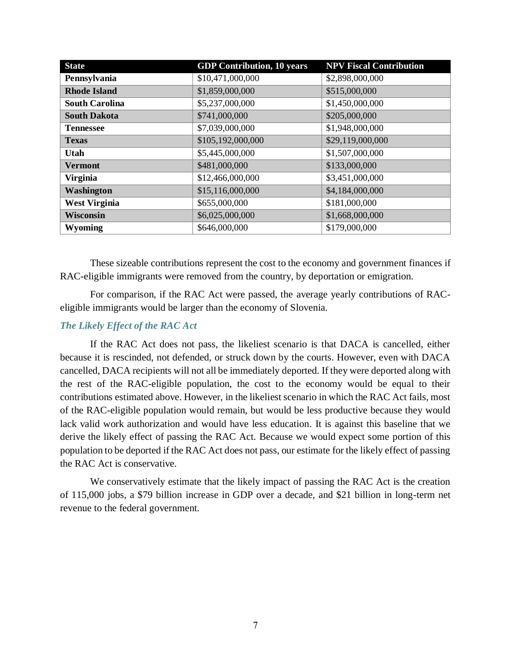| <b>State</b>          | <b>GDP</b> Contribution, 10 years | <b>NPV Fiscal Contribution</b> |  |
|-----------------------|-----------------------------------|--------------------------------|--|
| Pennsylvania          | \$10,471,000,000                  | \$2,898,000,000                |  |
| <b>Rhode Island</b>   | \$1,859,000,000                   | \$515,000,000                  |  |
| <b>South Carolina</b> | \$5,237,000,000                   | \$1,450,000,000                |  |
| <b>South Dakota</b>   | \$741,000,000                     | \$205,000,000                  |  |
| <b>Tennessee</b>      | \$7,039,000,000                   | \$1,948,000,000                |  |
| <b>Texas</b>          | \$105,192,000,000                 | \$29,119,000,000               |  |
| Utah                  | \$5,445,000,000                   | \$1,507,000,000                |  |
| <b>Vermont</b>        | \$481,000,000                     | \$133,000,000                  |  |
| <b>Virginia</b>       | \$12,466,000,000                  | \$3,451,000,000                |  |
| <b>Washington</b>     | \$15,116,000,000                  | \$4,184,000,000                |  |
| <b>West Virginia</b>  | \$655,000,000                     | \$181,000,000                  |  |
| <b>Wisconsin</b>      | \$6,025,000,000                   | \$1,668,000,000                |  |
| Wyoming               | \$646,000,000                     | \$179,000,000                  |  |

These sizeable contributions represent the cost to the economy and government finances if RAC-eligible immigrants were removed from the country, by deportation or emigration.

For comparison, if the RAC Act were passed, the average yearly contributions of RACeligible immigrants would be larger than the economy of Slovenia.

#### *The Likely Effect of the RAC Act*

If the RAC Act does not pass, the likeliest scenario is that DACA is cancelled, either because it is rescinded, not defended, or struck down by the courts. However, even with DACA cancelled, DACA recipients will not all be immediately deported. If they were deported along with the rest of the RAC-eligible population, the cost to the economy would be equal to their contributions estimated above. However, in the likeliest scenario in which the RAC Act fails, most of the RAC-eligible population would remain, but would be less productive because they would lack valid work authorization and would have less education. It is against this baseline that we derive the likely effect of passing the RAC Act. Because we would expect some portion of this population to be deported if the RAC Act does not pass, our estimate for the likely effect of passing the RAC Act is conservative.

We conservatively estimate that the likely impact of passing the RAC Act is the creation of 115,000 jobs, a \$79 billion increase in GDP over a decade, and \$21 billion in long-term net revenue to the federal government.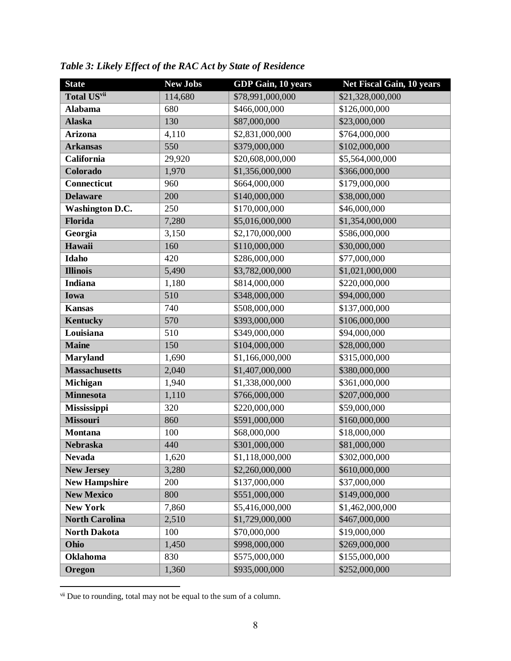| <b>State</b>           | <b>New Jobs</b> | <b>GDP Gain, 10 years</b> | <b>Net Fiscal Gain, 10 years</b> |
|------------------------|-----------------|---------------------------|----------------------------------|
| Total USvii            | 114,680         | \$78,991,000,000          | \$21,328,000,000                 |
| <b>Alabama</b>         | 680             | \$466,000,000             | \$126,000,000                    |
| <b>Alaska</b>          | 130             | \$87,000,000              | \$23,000,000                     |
| <b>Arizona</b>         | 4,110           | \$2,831,000,000           | \$764,000,000                    |
| <b>Arkansas</b>        | 550             | \$379,000,000             | \$102,000,000                    |
| California             | 29,920          | \$20,608,000,000          | \$5,564,000,000                  |
| Colorado               | 1,970           | \$1,356,000,000           | \$366,000,000                    |
| <b>Connecticut</b>     | 960             | \$664,000,000             | \$179,000,000                    |
| <b>Delaware</b>        | 200             | \$140,000,000             | \$38,000,000                     |
| <b>Washington D.C.</b> | 250             | \$170,000,000             | \$46,000,000                     |
| Florida                | 7,280           | \$5,016,000,000           | \$1,354,000,000                  |
| Georgia                | 3,150           | \$2,170,000,000           | \$586,000,000                    |
| Hawaii                 | 160             | \$110,000,000             | \$30,000,000                     |
| Idaho                  | 420             | \$286,000,000             | \$77,000,000                     |
| <b>Illinois</b>        | 5,490           | \$3,782,000,000           | \$1,021,000,000                  |
| Indiana                | 1,180           | \$814,000,000             | \$220,000,000                    |
| Iowa                   | 510             | \$348,000,000             | \$94,000,000                     |
| <b>Kansas</b>          | 740             | \$508,000,000             | \$137,000,000                    |
| Kentucky               | 570             | \$393,000,000             | \$106,000,000                    |
| Louisiana              | 510             | \$349,000,000             | \$94,000,000                     |
| <b>Maine</b>           | 150             | \$104,000,000             | \$28,000,000                     |
| <b>Maryland</b>        | 1,690           | \$1,166,000,000           | \$315,000,000                    |
| <b>Massachusetts</b>   | 2,040           | \$1,407,000,000           | \$380,000,000                    |
| Michigan               | 1,940           | \$1,338,000,000           | \$361,000,000                    |
| <b>Minnesota</b>       | 1,110           | \$766,000,000             | \$207,000,000                    |
| Mississippi            | 320             | \$220,000,000             | \$59,000,000                     |
| <b>Missouri</b>        | 860             | \$591,000,000             | \$160,000,000                    |
| <b>Montana</b>         | 100             | \$68,000,000              | \$18,000,000                     |
| <b>Nebraska</b>        | 440             | \$301,000,000             | \$81,000,000                     |
| <b>Nevada</b>          | 1,620           | \$1,118,000,000           | \$302,000,000                    |
| <b>New Jersey</b>      | 3,280           | \$2,260,000,000           | \$610,000,000                    |
| <b>New Hampshire</b>   | 200             | \$137,000,000             | \$37,000,000                     |
| <b>New Mexico</b>      | 800             | \$551,000,000             | \$149,000,000                    |
| <b>New York</b>        | 7,860           | \$5,416,000,000           | \$1,462,000,000                  |
| <b>North Carolina</b>  | 2,510           | \$1,729,000,000           | \$467,000,000                    |
| <b>North Dakota</b>    | 100             | \$70,000,000              | \$19,000,000                     |
| Ohio                   | 1,450           | \$998,000,000             | \$269,000,000                    |
| <b>Oklahoma</b>        | 830             | \$575,000,000             | \$155,000,000                    |
| Oregon                 | 1,360           | \$935,000,000             | \$252,000,000                    |

*Table 3: Likely Effect of the RAC Act by State of Residence*

<sup>vii</sup> Due to rounding, total may not be equal to the sum of a column.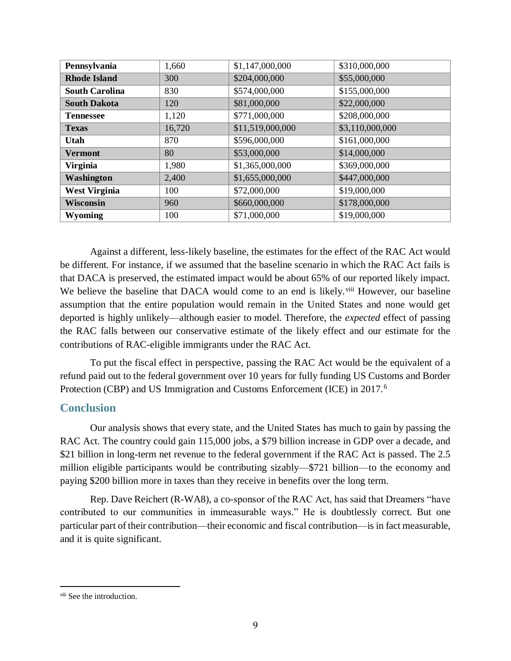| Pennsylvania          | 1,660  | \$1,147,000,000  | \$310,000,000   |
|-----------------------|--------|------------------|-----------------|
| <b>Rhode Island</b>   | 300    | \$204,000,000    | \$55,000,000    |
| <b>South Carolina</b> | 830    | \$574,000,000    | \$155,000,000   |
| <b>South Dakota</b>   | 120    | \$81,000,000     | \$22,000,000    |
| <b>Tennessee</b>      | 1,120  | \$771,000,000    | \$208,000,000   |
| <b>Texas</b>          | 16,720 | \$11,519,000,000 | \$3,110,000,000 |
| Utah                  | 870    | \$596,000,000    | \$161,000,000   |
| <b>Vermont</b>        | 80     | \$53,000,000     | \$14,000,000    |
| <b>Virginia</b>       | 1,980  | \$1,365,000,000  | \$369,000,000   |
| Washington            | 2,400  | \$1,655,000,000  | \$447,000,000   |
| <b>West Virginia</b>  | 100    | \$72,000,000     | \$19,000,000    |
| Wisconsin             | 960    | \$660,000,000    | \$178,000,000   |
| Wyoming               | 100    | \$71,000,000     | \$19,000,000    |

Against a different, less-likely baseline, the estimates for the effect of the RAC Act would be different. For instance, if we assumed that the baseline scenario in which the RAC Act fails is that DACA is preserved, the estimated impact would be about 65% of our reported likely impact. We believe the baseline that DACA would come to an end is likely.<sup>viii</sup> However, our baseline assumption that the entire population would remain in the United States and none would get deported is highly unlikely—although easier to model. Therefore, the *expected* effect of passing the RAC falls between our conservative estimate of the likely effect and our estimate for the contributions of RAC-eligible immigrants under the RAC Act.

To put the fiscal effect in perspective, passing the RAC Act would be the equivalent of a refund paid out to the federal government over 10 years for fully funding US Customs and Border Protection (CBP) and US Immigration and Customs Enforcement (ICE) in 2017.<sup>6</sup>

# **Conclusion**

Our analysis shows that every state, and the United States has much to gain by passing the RAC Act. The country could gain 115,000 jobs, a \$79 billion increase in GDP over a decade, and \$21 billion in long-term net revenue to the federal government if the RAC Act is passed. The 2.5 million eligible participants would be contributing sizably—\$721 billion—to the economy and paying \$200 billion more in taxes than they receive in benefits over the long term.

Rep. Dave Reichert (R-WA8), a co-sponsor of the RAC Act, has said that Dreamers "have contributed to our communities in immeasurable ways." He is doubtlessly correct. But one particular part of their contribution—their economic and fiscal contribution—is in fact measurable, and it is quite significant.

viii See the introduction.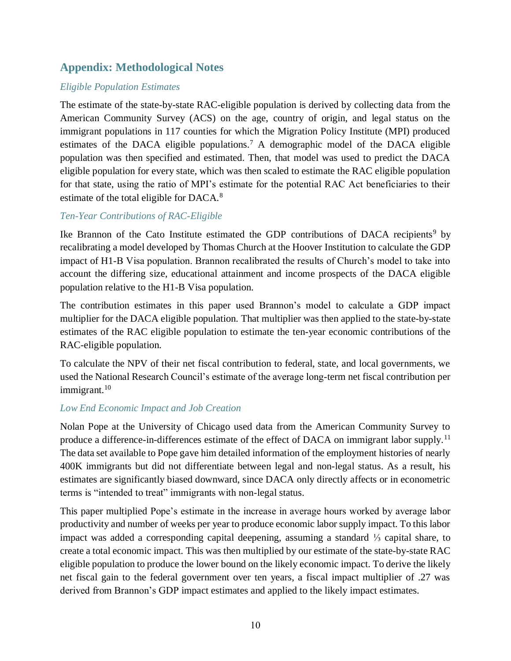# **Appendix: Methodological Notes**

## *Eligible Population Estimates*

The estimate of the state-by-state RAC-eligible population is derived by collecting data from the American Community Survey (ACS) on the age, country of origin, and legal status on the immigrant populations in 117 counties for which the Migration Policy Institute (MPI) produced estimates of the DACA eligible populations.<sup>7</sup> A demographic model of the DACA eligible population was then specified and estimated. Then, that model was used to predict the DACA eligible population for every state, which was then scaled to estimate the RAC eligible population for that state, using the ratio of MPI's estimate for the potential RAC Act beneficiaries to their estimate of the total eligible for DACA.<sup>8</sup>

## *Ten-Year Contributions of RAC-Eligible*

Ike Brannon of the Cato Institute estimated the GDP contributions of DACA recipients<sup>9</sup> by recalibrating a model developed by Thomas Church at the Hoover Institution to calculate the GDP impact of H1-B Visa population. Brannon recalibrated the results of Church's model to take into account the differing size, educational attainment and income prospects of the DACA eligible population relative to the H1-B Visa population.

The contribution estimates in this paper used Brannon's model to calculate a GDP impact multiplier for the DACA eligible population. That multiplier was then applied to the state-by-state estimates of the RAC eligible population to estimate the ten-year economic contributions of the RAC-eligible population.

To calculate the NPV of their net fiscal contribution to federal, state, and local governments, we used the National Research Council's estimate of the average long-term net fiscal contribution per immigrant.<sup>10</sup>

#### *Low End Economic Impact and Job Creation*

Nolan Pope at the University of Chicago used data from the American Community Survey to produce a difference-in-differences estimate of the effect of DACA on immigrant labor supply.<sup>11</sup> The data set available to Pope gave him detailed information of the employment histories of nearly 400K immigrants but did not differentiate between legal and non-legal status. As a result, his estimates are significantly biased downward, since DACA only directly affects or in econometric terms is "intended to treat" immigrants with non-legal status.

This paper multiplied Pope's estimate in the increase in average hours worked by average labor productivity and number of weeks per year to produce economic labor supply impact. To this labor impact was added a corresponding capital deepening, assuming a standard ⅓ capital share, to create a total economic impact. This was then multiplied by our estimate of the state-by-state RAC eligible population to produce the lower bound on the likely economic impact. To derive the likely net fiscal gain to the federal government over ten years, a fiscal impact multiplier of .27 was derived from Brannon's GDP impact estimates and applied to the likely impact estimates.